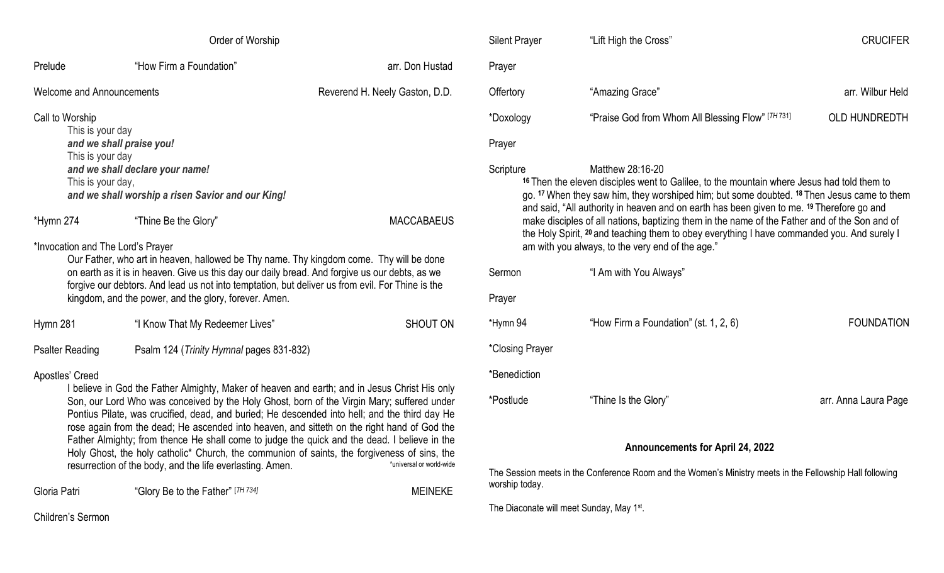| Order of Worship                                                                                                                                                                                                                                                                                                                                                                                                                                                                                                                                                                                                                                                                                                    |                                          |                                |  |  |
|---------------------------------------------------------------------------------------------------------------------------------------------------------------------------------------------------------------------------------------------------------------------------------------------------------------------------------------------------------------------------------------------------------------------------------------------------------------------------------------------------------------------------------------------------------------------------------------------------------------------------------------------------------------------------------------------------------------------|------------------------------------------|--------------------------------|--|--|
| Prelude                                                                                                                                                                                                                                                                                                                                                                                                                                                                                                                                                                                                                                                                                                             | "How Firm a Foundation"                  | arr. Don Hustad                |  |  |
| <b>Welcome and Announcements</b>                                                                                                                                                                                                                                                                                                                                                                                                                                                                                                                                                                                                                                                                                    |                                          | Reverend H. Neely Gaston, D.D. |  |  |
| Call to Worship<br>This is your day<br>and we shall praise you!<br>This is your day<br>and we shall declare your name!<br>This is your day,<br>and we shall worship a risen Savior and our King!                                                                                                                                                                                                                                                                                                                                                                                                                                                                                                                    |                                          |                                |  |  |
| *Hymn 274                                                                                                                                                                                                                                                                                                                                                                                                                                                                                                                                                                                                                                                                                                           | "Thine Be the Glory"                     | <b>MACCABAEUS</b>              |  |  |
| *Invocation and The Lord's Prayer<br>Our Father, who art in heaven, hallowed be Thy name. Thy kingdom come. Thy will be done<br>on earth as it is in heaven. Give us this day our daily bread. And forgive us our debts, as we<br>forgive our debtors. And lead us not into temptation, but deliver us from evil. For Thine is the<br>kingdom, and the power, and the glory, forever. Amen.                                                                                                                                                                                                                                                                                                                         |                                          |                                |  |  |
| Hymn 281                                                                                                                                                                                                                                                                                                                                                                                                                                                                                                                                                                                                                                                                                                            | "I Know That My Redeemer Lives"          | SHOUT ON                       |  |  |
| <b>Psalter Reading</b>                                                                                                                                                                                                                                                                                                                                                                                                                                                                                                                                                                                                                                                                                              | Psalm 124 (Trinity Hymnal pages 831-832) |                                |  |  |
| Apostles' Creed<br>I believe in God the Father Almighty, Maker of heaven and earth; and in Jesus Christ His only<br>Son, our Lord Who was conceived by the Holy Ghost, born of the Virgin Mary; suffered under<br>Pontius Pilate, was crucified, dead, and buried; He descended into hell; and the third day He<br>rose again from the dead; He ascended into heaven, and sitteth on the right hand of God the<br>Father Almighty; from thence He shall come to judge the quick and the dead. I believe in the<br>Holy Ghost, the holy catholic <sup>*</sup> Church, the communion of saints, the forgiveness of sins, the<br>*universal or world-wide<br>resurrection of the body, and the life everlasting. Amen. |                                          |                                |  |  |
| Gloria Patri                                                                                                                                                                                                                                                                                                                                                                                                                                                                                                                                                                                                                                                                                                        | "Glory Be to the Father" [TH 734]        | <b>MEINEKE</b>                 |  |  |

| <b>Silent Prayer</b>                                                                                                                                                                                                                                                                                                                                                                                                                                                                                                                                                                             | "Lift High the Cross"                             | <b>CRUCIFER</b>      |  |  |
|--------------------------------------------------------------------------------------------------------------------------------------------------------------------------------------------------------------------------------------------------------------------------------------------------------------------------------------------------------------------------------------------------------------------------------------------------------------------------------------------------------------------------------------------------------------------------------------------------|---------------------------------------------------|----------------------|--|--|
| Prayer                                                                                                                                                                                                                                                                                                                                                                                                                                                                                                                                                                                           |                                                   |                      |  |  |
| Offertory                                                                                                                                                                                                                                                                                                                                                                                                                                                                                                                                                                                        | "Amazing Grace"                                   | arr. Wilbur Held     |  |  |
| *Doxology                                                                                                                                                                                                                                                                                                                                                                                                                                                                                                                                                                                        | "Praise God from Whom All Blessing Flow" [TH 731] | <b>OLD HUNDREDTH</b> |  |  |
| Prayer                                                                                                                                                                                                                                                                                                                                                                                                                                                                                                                                                                                           |                                                   |                      |  |  |
| Matthew 28:16-20<br>Scripture<br><sup>16</sup> Then the eleven disciples went to Galilee, to the mountain where Jesus had told them to<br>go. 17 When they saw him, they worshiped him; but some doubted. 18 Then Jesus came to them<br>and said, "All authority in heaven and on earth has been given to me. 19 Therefore go and<br>make disciples of all nations, baptizing them in the name of the Father and of the Son and of<br>the Holy Spirit, <sup>20</sup> and teaching them to obey everything I have commanded you. And surely I<br>am with you always, to the very end of the age." |                                                   |                      |  |  |
| Sermon                                                                                                                                                                                                                                                                                                                                                                                                                                                                                                                                                                                           | "I Am with You Always"                            |                      |  |  |
| Prayer                                                                                                                                                                                                                                                                                                                                                                                                                                                                                                                                                                                           |                                                   |                      |  |  |
| *Hymn 94                                                                                                                                                                                                                                                                                                                                                                                                                                                                                                                                                                                         | "How Firm a Foundation" (st. 1, 2, 6)             | <b>FOUNDATION</b>    |  |  |
| *Closing Prayer                                                                                                                                                                                                                                                                                                                                                                                                                                                                                                                                                                                  |                                                   |                      |  |  |
| *Benediction                                                                                                                                                                                                                                                                                                                                                                                                                                                                                                                                                                                     |                                                   |                      |  |  |
| *Postlude                                                                                                                                                                                                                                                                                                                                                                                                                                                                                                                                                                                        | "Thine Is the Glory"                              | arr. Anna Laura Page |  |  |
| <b>Announcements for April 24, 2022</b>                                                                                                                                                                                                                                                                                                                                                                                                                                                                                                                                                          |                                                   |                      |  |  |

The Session meets in the Conference Room and the Women's Ministry meets in the Fellowship Hall following worship today.

The Diaconate will meet Sunday, May 1<sup>st</sup>.

Children's Sermon